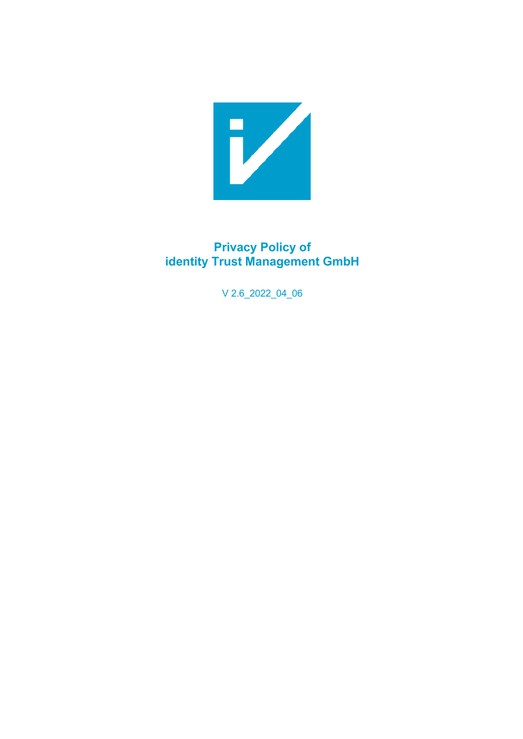

# **Privacy Policy of identity Trust Management GmbH**

V 2.6\_2022\_04\_06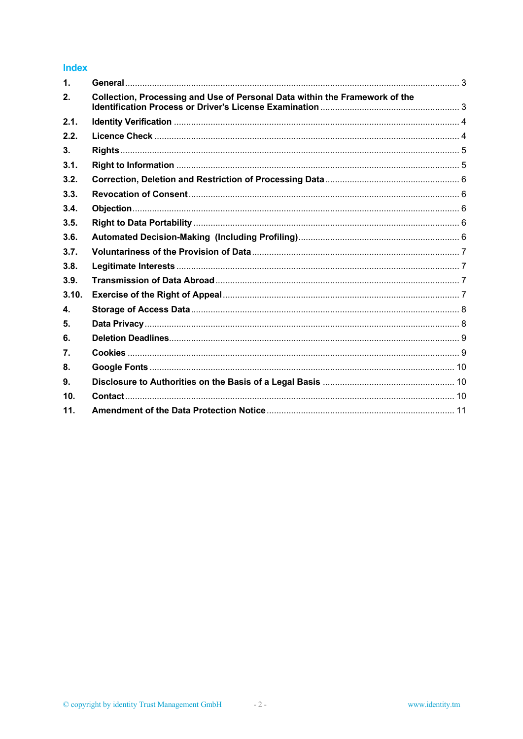#### **Index**

| $\mathbf{1}$    |                                                                             |  |
|-----------------|-----------------------------------------------------------------------------|--|
| 2.              | Collection, Processing and Use of Personal Data within the Framework of the |  |
| 2.1.            |                                                                             |  |
| 2.2.            |                                                                             |  |
| 3.              |                                                                             |  |
| 3.1.            |                                                                             |  |
| 3.2.            |                                                                             |  |
| 3.3.            |                                                                             |  |
| 3.4.            |                                                                             |  |
| 3.5.            |                                                                             |  |
| 3.6.            |                                                                             |  |
| 3.7.            |                                                                             |  |
| 3.8.            |                                                                             |  |
| 3.9.            |                                                                             |  |
| 3.10.           |                                                                             |  |
| $\mathbf{4}$ .  |                                                                             |  |
| 5.              |                                                                             |  |
| 6.              |                                                                             |  |
| 7.              |                                                                             |  |
| 8.              |                                                                             |  |
| 9.              |                                                                             |  |
| 10 <sub>1</sub> |                                                                             |  |
| 11.             |                                                                             |  |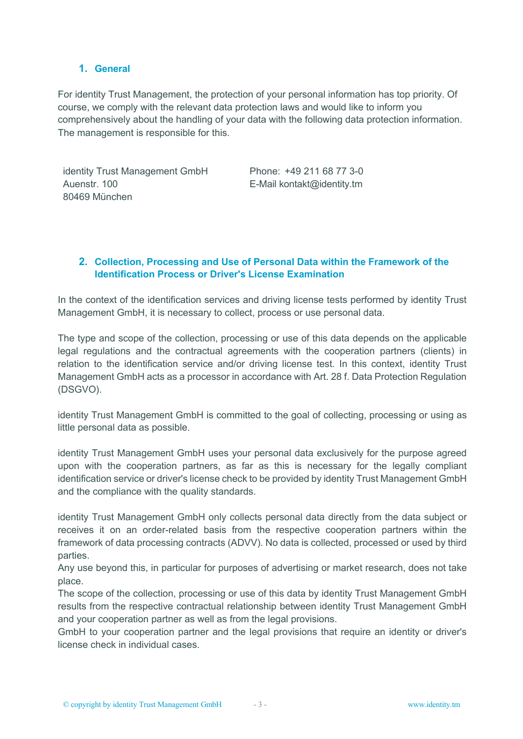#### **1. General**

For identity Trust Management, the protection of your personal information has top priority. Of course, we comply with the relevant data protection laws and would like to inform you comprehensively about the handling of your data with the following data protection information. The management is responsible for this.

identity Trust Management GmbH Phone: +49 211 68 77 3-0 Auenstr. 100 **E-Mail kontakt@identity.tm** 80469 München

### **2. Collection, Processing and Use of Personal Data within the Framework of the Identification Process or Driver's License Examination**

In the context of the identification services and driving license tests performed by identity Trust Management GmbH, it is necessary to collect, process or use personal data.

The type and scope of the collection, processing or use of this data depends on the applicable legal regulations and the contractual agreements with the cooperation partners (clients) in relation to the identification service and/or driving license test. In this context, identity Trust Management GmbH acts as a processor in accordance with Art. 28 f. Data Protection Regulation (DSGVO).

identity Trust Management GmbH is committed to the goal of collecting, processing or using as little personal data as possible.

identity Trust Management GmbH uses your personal data exclusively for the purpose agreed upon with the cooperation partners, as far as this is necessary for the legally compliant identification service or driver's license check to be provided by identity Trust Management GmbH and the compliance with the quality standards.

identity Trust Management GmbH only collects personal data directly from the data subject or receives it on an order-related basis from the respective cooperation partners within the framework of data processing contracts (ADVV). No data is collected, processed or used by third parties.

Any use beyond this, in particular for purposes of advertising or market research, does not take place.

The scope of the collection, processing or use of this data by identity Trust Management GmbH results from the respective contractual relationship between identity Trust Management GmbH and your cooperation partner as well as from the legal provisions.

GmbH to your cooperation partner and the legal provisions that require an identity or driver's license check in individual cases.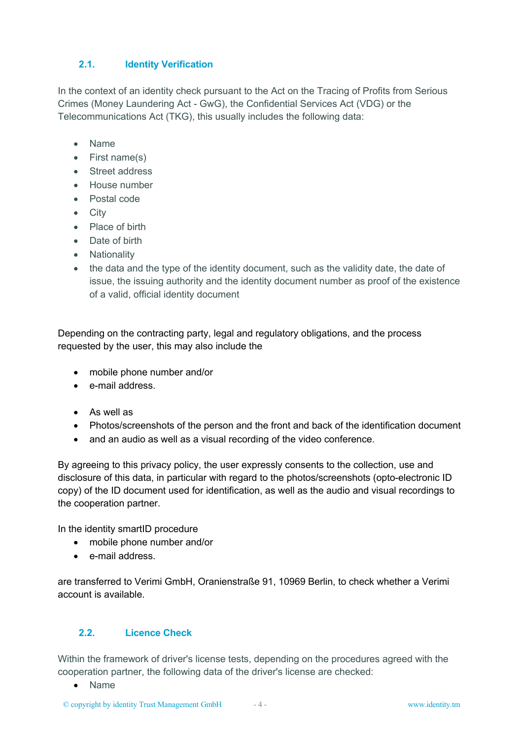## **2.1. Identity Verification**

In the context of an identity check pursuant to the Act on the Tracing of Profits from Serious Crimes (Money Laundering Act - GwG), the Confidential Services Act (VDG) or the Telecommunications Act (TKG), this usually includes the following data:

- Name
- First name(s)
- Street address
- House number
- Postal code
- City
- Place of birth
- Date of birth
- Nationality
- the data and the type of the identity document, such as the validity date, the date of issue, the issuing authority and the identity document number as proof of the existence of a valid, official identity document

Depending on the contracting party, legal and regulatory obligations, and the process requested by the user, this may also include the

- mobile phone number and/or
- e-mail address.
- As well as
- Photos/screenshots of the person and the front and back of the identification document
- and an audio as well as a visual recording of the video conference.

By agreeing to this privacy policy, the user expressly consents to the collection, use and disclosure of this data, in particular with regard to the photos/screenshots (opto-electronic ID copy) of the ID document used for identification, as well as the audio and visual recordings to the cooperation partner.

In the identity smartID procedure

- mobile phone number and/or
- e-mail address.

are transferred to Verimi GmbH, Oranienstraße 91, 10969 Berlin, to check whether a Verimi account is available.

### **2.2. Licence Check**

Within the framework of driver's license tests, depending on the procedures agreed with the cooperation partner, the following data of the driver's license are checked:

• Name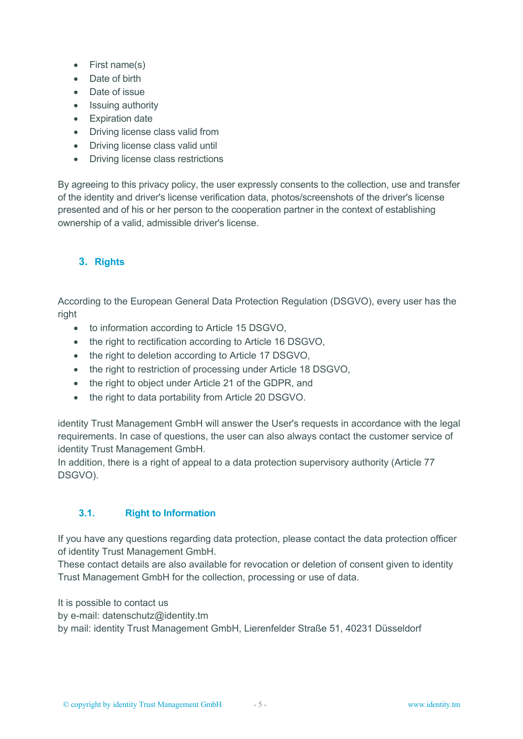- First name(s)
- Date of birth
- Date of issue
- Issuing authority
- Expiration date
- Driving license class valid from
- Driving license class valid until
- Driving license class restrictions

By agreeing to this privacy policy, the user expressly consents to the collection, use and transfer of the identity and driver's license verification data, photos/screenshots of the driver's license presented and of his or her person to the cooperation partner in the context of establishing ownership of a valid, admissible driver's license.

# **3. Rights**

According to the European General Data Protection Regulation (DSGVO), every user has the right

- to information according to Article 15 DSGVO,
- the right to rectification according to Article 16 DSGVO.
- the right to deletion according to Article 17 DSGVO,
- the right to restriction of processing under Article 18 DSGVO,
- the right to object under Article 21 of the GDPR, and
- the right to data portability from Article 20 DSGVO.

identity Trust Management GmbH will answer the User's requests in accordance with the legal requirements. In case of questions, the user can also always contact the customer service of identity Trust Management GmbH.

In addition, there is a right of appeal to a data protection supervisory authority (Article 77 DSGVO).

## **3.1. Right to Information**

If you have any questions regarding data protection, please contact the data protection officer of identity Trust Management GmbH.

These contact details are also available for revocation or deletion of consent given to identity Trust Management GmbH for the collection, processing or use of data.

It is possible to contact us

by e-mail: datenschutz@identity.tm

by mail: identity Trust Management GmbH, Lierenfelder Straße 51, 40231 Düsseldorf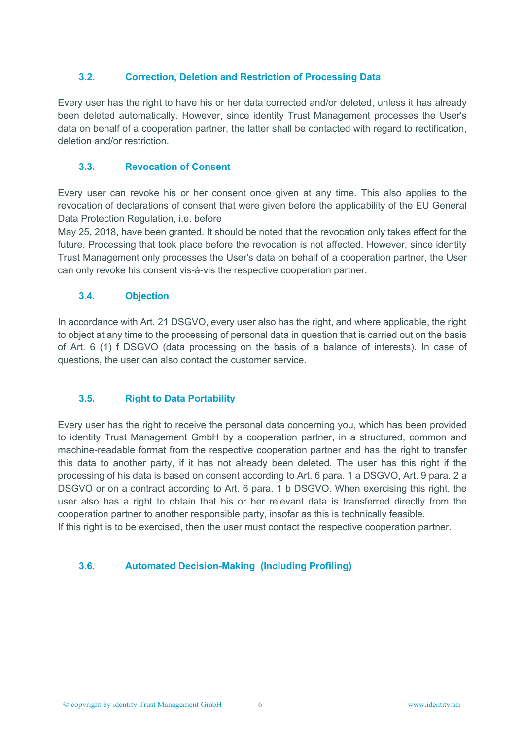### **3.2. Correction, Deletion and Restriction of Processing Data**

Every user has the right to have his or her data corrected and/or deleted, unless it has already been deleted automatically. However, since identity Trust Management processes the User's data on behalf of a cooperation partner, the latter shall be contacted with regard to rectification, deletion and/or restriction.

### **3.3. Revocation of Consent**

Every user can revoke his or her consent once given at any time. This also applies to the revocation of declarations of consent that were given before the applicability of the EU General Data Protection Regulation, i.e. before

May 25, 2018, have been granted. It should be noted that the revocation only takes effect for the future. Processing that took place before the revocation is not affected. However, since identity Trust Management only processes the User's data on behalf of a cooperation partner, the User can only revoke his consent vis-à-vis the respective cooperation partner.

#### **3.4. Objection**

In accordance with Art. 21 DSGVO, every user also has the right, and where applicable, the right to object at any time to the processing of personal data in question that is carried out on the basis of Art. 6 (1) f DSGVO (data processing on the basis of a balance of interests). In case of questions, the user can also contact the customer service.

### **3.5. Right to Data Portability**

Every user has the right to receive the personal data concerning you, which has been provided to identity Trust Management GmbH by a cooperation partner, in a structured, common and machine-readable format from the respective cooperation partner and has the right to transfer this data to another party, if it has not already been deleted. The user has this right if the processing of his data is based on consent according to Art. 6 para. 1 a DSGVO, Art. 9 para. 2 a DSGVO or on a contract according to Art. 6 para. 1 b DSGVO. When exercising this right, the user also has a right to obtain that his or her relevant data is transferred directly from the cooperation partner to another responsible party, insofar as this is technically feasible. If this right is to be exercised, then the user must contact the respective cooperation partner.

#### **3.6. Automated Decision-Making (Including Profiling)**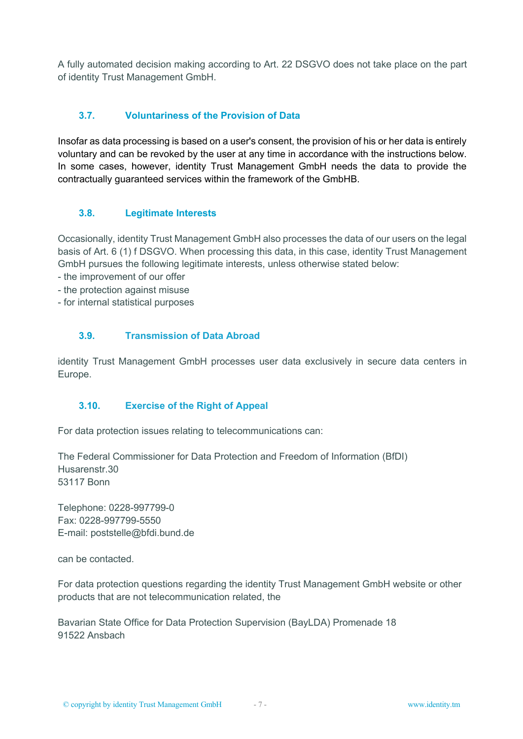A fully automated decision making according to Art. 22 DSGVO does not take place on the part of identity Trust Management GmbH.

### **3.7. Voluntariness of the Provision of Data**

Insofar as data processing is based on a user's consent, the provision of his or her data is entirely voluntary and can be revoked by the user at any time in accordance with the instructions below. In some cases, however, identity Trust Management GmbH needs the data to provide the contractually guaranteed services within the framework of the GmbHB.

### **3.8. Legitimate Interests**

Occasionally, identity Trust Management GmbH also processes the data of our users on the legal basis of Art. 6 (1) f DSGVO. When processing this data, in this case, identity Trust Management GmbH pursues the following legitimate interests, unless otherwise stated below:

- the improvement of our offer
- the protection against misuse
- for internal statistical purposes

### **3.9. Transmission of Data Abroad**

identity Trust Management GmbH processes user data exclusively in secure data centers in Europe.

#### **3.10. Exercise of the Right of Appeal**

For data protection issues relating to telecommunications can:

The Federal Commissioner for Data Protection and Freedom of Information (BfDI) Husarenstr.30 53117 Bonn

Telephone: 0228-997799-0 Fax: 0228-997799-5550 E-mail: poststelle@bfdi.bund.de

can be contacted.

For data protection questions regarding the identity Trust Management GmbH website or other products that are not telecommunication related, the

Bavarian State Office for Data Protection Supervision (BayLDA) Promenade 18 91522 Ansbach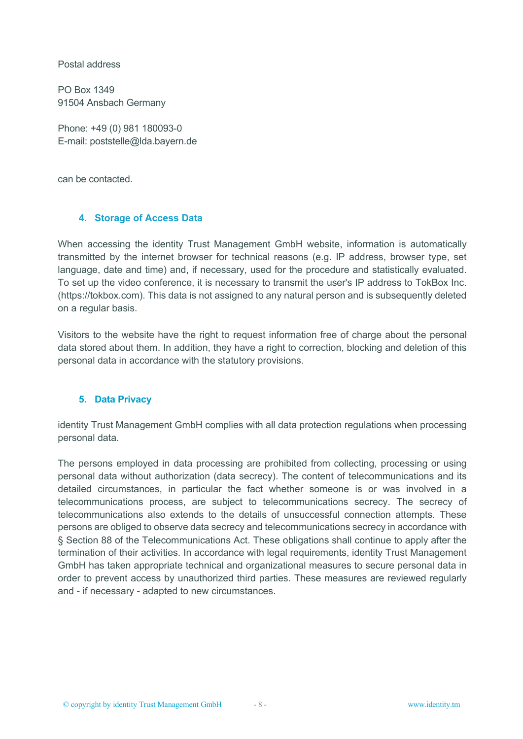Postal address

PO Box 1349 91504 Ansbach Germany

Phone: +49 (0) 981 180093-0 E-mail: poststelle@lda.bayern.de

can be contacted.

#### **4. Storage of Access Data**

When accessing the identity Trust Management GmbH website, information is automatically transmitted by the internet browser for technical reasons (e.g. IP address, browser type, set language, date and time) and, if necessary, used for the procedure and statistically evaluated. To set up the video conference, it is necessary to transmit the user's IP address to TokBox Inc. (https://tokbox.com). This data is not assigned to any natural person and is subsequently deleted on a regular basis.

Visitors to the website have the right to request information free of charge about the personal data stored about them. In addition, they have a right to correction, blocking and deletion of this personal data in accordance with the statutory provisions.

### **5. Data Privacy**

identity Trust Management GmbH complies with all data protection regulations when processing personal data.

The persons employed in data processing are prohibited from collecting, processing or using personal data without authorization (data secrecy). The content of telecommunications and its detailed circumstances, in particular the fact whether someone is or was involved in a telecommunications process, are subject to telecommunications secrecy. The secrecy of telecommunications also extends to the details of unsuccessful connection attempts. These persons are obliged to observe data secrecy and telecommunications secrecy in accordance with § Section 88 of the Telecommunications Act. These obligations shall continue to apply after the termination of their activities. In accordance with legal requirements, identity Trust Management GmbH has taken appropriate technical and organizational measures to secure personal data in order to prevent access by unauthorized third parties. These measures are reviewed regularly and - if necessary - adapted to new circumstances.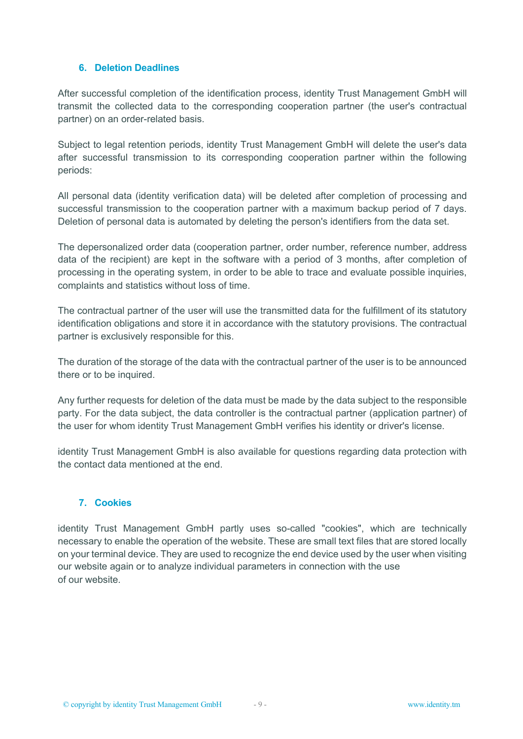#### **6. Deletion Deadlines**

After successful completion of the identification process, identity Trust Management GmbH will transmit the collected data to the corresponding cooperation partner (the user's contractual partner) on an order-related basis.

Subject to legal retention periods, identity Trust Management GmbH will delete the user's data after successful transmission to its corresponding cooperation partner within the following periods:

All personal data (identity verification data) will be deleted after completion of processing and successful transmission to the cooperation partner with a maximum backup period of 7 days. Deletion of personal data is automated by deleting the person's identifiers from the data set.

The depersonalized order data (cooperation partner, order number, reference number, address data of the recipient) are kept in the software with a period of 3 months, after completion of processing in the operating system, in order to be able to trace and evaluate possible inquiries, complaints and statistics without loss of time.

The contractual partner of the user will use the transmitted data for the fulfillment of its statutory identification obligations and store it in accordance with the statutory provisions. The contractual partner is exclusively responsible for this.

The duration of the storage of the data with the contractual partner of the user is to be announced there or to be inquired.

Any further requests for deletion of the data must be made by the data subject to the responsible party. For the data subject, the data controller is the contractual partner (application partner) of the user for whom identity Trust Management GmbH verifies his identity or driver's license.

identity Trust Management GmbH is also available for questions regarding data protection with the contact data mentioned at the end.

### **7. Cookies**

identity Trust Management GmbH partly uses so-called "cookies", which are technically necessary to enable the operation of the website. These are small text files that are stored locally on your terminal device. They are used to recognize the end device used by the user when visiting our website again or to analyze individual parameters in connection with the use of our website.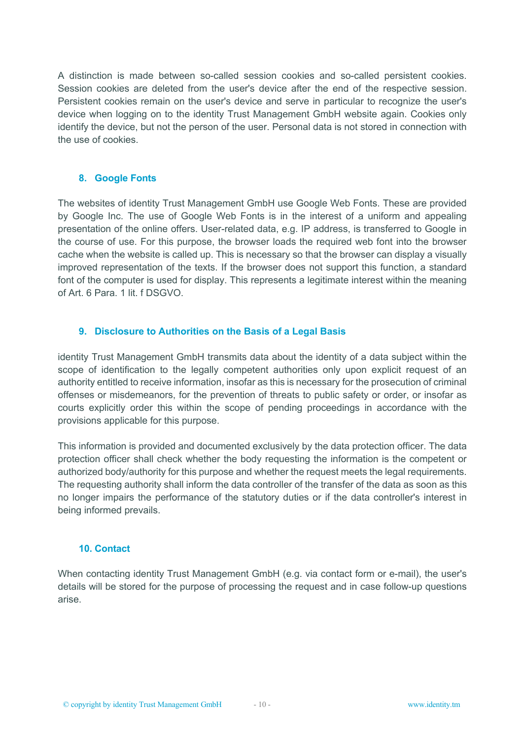A distinction is made between so-called session cookies and so-called persistent cookies. Session cookies are deleted from the user's device after the end of the respective session. Persistent cookies remain on the user's device and serve in particular to recognize the user's device when logging on to the identity Trust Management GmbH website again. Cookies only identify the device, but not the person of the user. Personal data is not stored in connection with the use of cookies.

#### **8. Google Fonts**

The websites of identity Trust Management GmbH use Google Web Fonts. These are provided by Google Inc. The use of Google Web Fonts is in the interest of a uniform and appealing presentation of the online offers. User-related data, e.g. IP address, is transferred to Google in the course of use. For this purpose, the browser loads the required web font into the browser cache when the website is called up. This is necessary so that the browser can display a visually improved representation of the texts. If the browser does not support this function, a standard font of the computer is used for display. This represents a legitimate interest within the meaning of Art. 6 Para. 1 lit. f DSGVO.

#### **9. Disclosure to Authorities on the Basis of a Legal Basis**

identity Trust Management GmbH transmits data about the identity of a data subject within the scope of identification to the legally competent authorities only upon explicit request of an authority entitled to receive information, insofar as this is necessary for the prosecution of criminal offenses or misdemeanors, for the prevention of threats to public safety or order, or insofar as courts explicitly order this within the scope of pending proceedings in accordance with the provisions applicable for this purpose.

This information is provided and documented exclusively by the data protection officer. The data protection officer shall check whether the body requesting the information is the competent or authorized body/authority for this purpose and whether the request meets the legal requirements. The requesting authority shall inform the data controller of the transfer of the data as soon as this no longer impairs the performance of the statutory duties or if the data controller's interest in being informed prevails.

#### **10. Contact**

When contacting identity Trust Management GmbH (e.g. via contact form or e-mail), the user's details will be stored for the purpose of processing the request and in case follow-up questions arise.